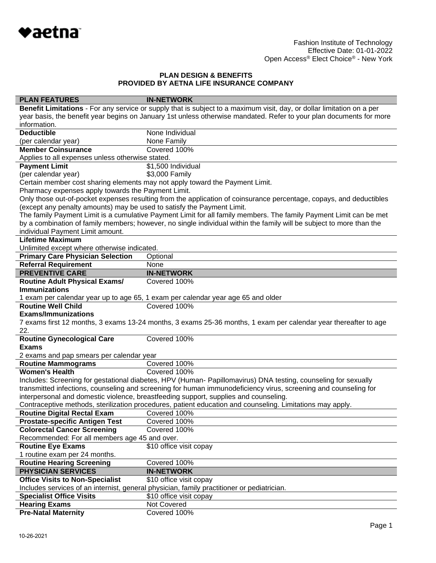

| <b>PLAN FEATURES</b>                                                                                                                                                                                                              | <b>IN-NETWORK</b>                                                                                                      |  |
|-----------------------------------------------------------------------------------------------------------------------------------------------------------------------------------------------------------------------------------|------------------------------------------------------------------------------------------------------------------------|--|
|                                                                                                                                                                                                                                   | Benefit Limitations - For any service or supply that is subject to a maximum visit, day, or dollar limitation on a per |  |
|                                                                                                                                                                                                                                   | year basis, the benefit year begins on January 1st unless otherwise mandated. Refer to your plan documents for more    |  |
| information.                                                                                                                                                                                                                      |                                                                                                                        |  |
| <b>Deductible</b>                                                                                                                                                                                                                 | None Individual                                                                                                        |  |
| (per calendar year)                                                                                                                                                                                                               | None Family                                                                                                            |  |
| <b>Member Coinsurance</b>                                                                                                                                                                                                         | Covered 100%                                                                                                           |  |
| Applies to all expenses unless otherwise stated.                                                                                                                                                                                  |                                                                                                                        |  |
| <b>Payment Limit</b>                                                                                                                                                                                                              | \$1,500 Individual                                                                                                     |  |
| (per calendar year)                                                                                                                                                                                                               | \$3,000 Family                                                                                                         |  |
|                                                                                                                                                                                                                                   | Certain member cost sharing elements may not apply toward the Payment Limit.                                           |  |
| Pharmacy expenses apply towards the Payment Limit.                                                                                                                                                                                |                                                                                                                        |  |
|                                                                                                                                                                                                                                   | Only those out-of-pocket expenses resulting from the application of coinsurance percentage, copays, and deductibles    |  |
| (except any penalty amounts) may be used to satisfy the Payment Limit.                                                                                                                                                            |                                                                                                                        |  |
| The family Payment Limit is a cumulative Payment Limit for all family members. The family Payment Limit can be met                                                                                                                |                                                                                                                        |  |
|                                                                                                                                                                                                                                   | by a combination of family members; however, no single individual within the family will be subject to more than the   |  |
| individual Payment Limit amount.                                                                                                                                                                                                  |                                                                                                                        |  |
| <b>Lifetime Maximum</b>                                                                                                                                                                                                           |                                                                                                                        |  |
| Unlimited except where otherwise indicated.                                                                                                                                                                                       |                                                                                                                        |  |
| <b>Primary Care Physician Selection</b>                                                                                                                                                                                           | Optional                                                                                                               |  |
| <b>Referral Requirement</b>                                                                                                                                                                                                       | None                                                                                                                   |  |
| <b>PREVENTIVE CARE</b>                                                                                                                                                                                                            | <b>IN-NETWORK</b>                                                                                                      |  |
| <b>Routine Adult Physical Exams/</b>                                                                                                                                                                                              | Covered 100%                                                                                                           |  |
| <b>Immunizations</b>                                                                                                                                                                                                              |                                                                                                                        |  |
|                                                                                                                                                                                                                                   | 1 exam per calendar year up to age 65, 1 exam per calendar year age 65 and older                                       |  |
| <b>Routine Well Child</b>                                                                                                                                                                                                         | Covered 100%                                                                                                           |  |
| <b>Exams/Immunizations</b>                                                                                                                                                                                                        |                                                                                                                        |  |
|                                                                                                                                                                                                                                   | 7 exams first 12 months, 3 exams 13-24 months, 3 exams 25-36 months, 1 exam per calendar year thereafter to age        |  |
| 22.                                                                                                                                                                                                                               |                                                                                                                        |  |
| <b>Routine Gynecological Care</b><br><b>Exams</b>                                                                                                                                                                                 | Covered 100%                                                                                                           |  |
|                                                                                                                                                                                                                                   |                                                                                                                        |  |
| 2 exams and pap smears per calendar year                                                                                                                                                                                          | Covered 100%                                                                                                           |  |
| <b>Routine Mammograms</b><br><b>Women's Health</b>                                                                                                                                                                                | Covered 100%                                                                                                           |  |
|                                                                                                                                                                                                                                   |                                                                                                                        |  |
| Includes: Screening for gestational diabetes, HPV (Human- Papillomavirus) DNA testing, counseling for sexually<br>transmitted infections, counseling and screening for human immunodeficiency virus, screening and counseling for |                                                                                                                        |  |
|                                                                                                                                                                                                                                   | interpersonal and domestic violence, breastfeeding support, supplies and counseling.                                   |  |
|                                                                                                                                                                                                                                   | Contraceptive methods, sterilization procedures, patient education and counseling. Limitations may apply.              |  |
| Routine Digital Rectal Exam Covered 100%                                                                                                                                                                                          |                                                                                                                        |  |
| <b>Prostate-specific Antigen Test</b>                                                                                                                                                                                             | Covered 100%                                                                                                           |  |
| <b>Colorectal Cancer Screening</b>                                                                                                                                                                                                | Covered 100%                                                                                                           |  |
| Recommended: For all members age 45 and over.                                                                                                                                                                                     |                                                                                                                        |  |
| <b>Routine Eye Exams</b>                                                                                                                                                                                                          | \$10 office visit copay                                                                                                |  |
| 1 routine exam per 24 months.                                                                                                                                                                                                     |                                                                                                                        |  |
| <b>Routine Hearing Screening</b>                                                                                                                                                                                                  | Covered 100%                                                                                                           |  |
| <b>PHYSICIAN SERVICES</b>                                                                                                                                                                                                         | <b>IN-NETWORK</b>                                                                                                      |  |
| <b>Office Visits to Non-Specialist</b>                                                                                                                                                                                            | \$10 office visit copay                                                                                                |  |
| Includes services of an internist, general physician, family practitioner or pediatrician.                                                                                                                                        |                                                                                                                        |  |
| <b>Specialist Office Visits</b>                                                                                                                                                                                                   | \$10 office visit copay                                                                                                |  |
| <b>Hearing Exams</b>                                                                                                                                                                                                              | Not Covered                                                                                                            |  |
| <b>Pre-Natal Maternity</b>                                                                                                                                                                                                        | Covered 100%                                                                                                           |  |
|                                                                                                                                                                                                                                   |                                                                                                                        |  |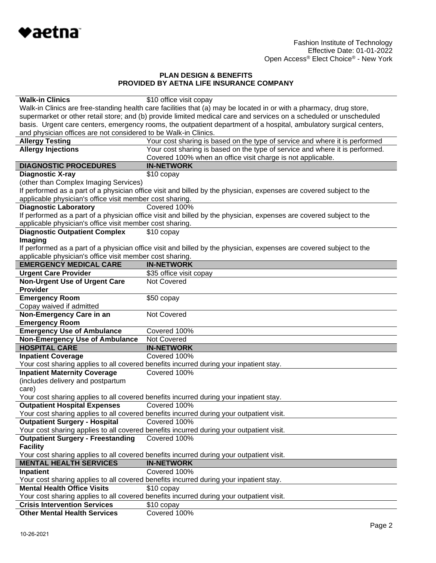

| <b>Walk-in Clinics</b>                                                                                                                                                          | \$10 office visit copay                                                                                             |  |
|---------------------------------------------------------------------------------------------------------------------------------------------------------------------------------|---------------------------------------------------------------------------------------------------------------------|--|
|                                                                                                                                                                                 | Walk-in Clinics are free-standing health care facilities that (a) may be located in or with a pharmacy, drug store, |  |
|                                                                                                                                                                                 | supermarket or other retail store; and (b) provide limited medical care and services on a scheduled or unscheduled  |  |
|                                                                                                                                                                                 | basis. Urgent care centers, emergency rooms, the outpatient department of a hospital, ambulatory surgical centers,  |  |
| and physician offices are not considered to be Walk-in Clinics.                                                                                                                 |                                                                                                                     |  |
| <b>Allergy Testing</b>                                                                                                                                                          | Your cost sharing is based on the type of service and where it is performed                                         |  |
| <b>Allergy Injections</b>                                                                                                                                                       | Your cost sharing is based on the type of service and where it is performed.                                        |  |
|                                                                                                                                                                                 | Covered 100% when an office visit charge is not applicable.                                                         |  |
| <b>DIAGNOSTIC PROCEDURES</b>                                                                                                                                                    | <b>IN-NETWORK</b>                                                                                                   |  |
| <b>Diagnostic X-ray</b>                                                                                                                                                         | \$10 copay                                                                                                          |  |
| (other than Complex Imaging Services)                                                                                                                                           |                                                                                                                     |  |
|                                                                                                                                                                                 | If performed as a part of a physician office visit and billed by the physician, expenses are covered subject to the |  |
| applicable physician's office visit member cost sharing.                                                                                                                        |                                                                                                                     |  |
| <b>Diagnostic Laboratory</b>                                                                                                                                                    | Covered 100%                                                                                                        |  |
|                                                                                                                                                                                 | If performed as a part of a physician office visit and billed by the physician, expenses are covered subject to the |  |
| applicable physician's office visit member cost sharing.                                                                                                                        |                                                                                                                     |  |
| <b>Diagnostic Outpatient Complex</b>                                                                                                                                            | \$10 copay                                                                                                          |  |
| Imaging                                                                                                                                                                         |                                                                                                                     |  |
|                                                                                                                                                                                 |                                                                                                                     |  |
| If performed as a part of a physician office visit and billed by the physician, expenses are covered subject to the<br>applicable physician's office visit member cost sharing. |                                                                                                                     |  |
| <b>EMERGENCY MEDICAL CARE</b>                                                                                                                                                   | <b>IN-NETWORK</b>                                                                                                   |  |
| <b>Urgent Care Provider</b>                                                                                                                                                     | \$35 office visit copay                                                                                             |  |
| <b>Non-Urgent Use of Urgent Care</b>                                                                                                                                            | <b>Not Covered</b>                                                                                                  |  |
| <b>Provider</b>                                                                                                                                                                 |                                                                                                                     |  |
| <b>Emergency Room</b>                                                                                                                                                           | \$50 copay                                                                                                          |  |
| Copay waived if admitted                                                                                                                                                        |                                                                                                                     |  |
| Non-Emergency Care in an                                                                                                                                                        | Not Covered                                                                                                         |  |
| <b>Emergency Room</b>                                                                                                                                                           |                                                                                                                     |  |
| <b>Emergency Use of Ambulance</b>                                                                                                                                               | Covered 100%                                                                                                        |  |
| <b>Non-Emergency Use of Ambulance</b>                                                                                                                                           | Not Covered                                                                                                         |  |
| <b>HOSPITAL CARE</b>                                                                                                                                                            | <b>IN-NETWORK</b>                                                                                                   |  |
| <b>Inpatient Coverage</b>                                                                                                                                                       | Covered 100%                                                                                                        |  |
|                                                                                                                                                                                 | Your cost sharing applies to all covered benefits incurred during your inpatient stay.                              |  |
| <b>Inpatient Maternity Coverage</b>                                                                                                                                             | Covered 100%                                                                                                        |  |
| (includes delivery and postpartum                                                                                                                                               |                                                                                                                     |  |
| care)                                                                                                                                                                           |                                                                                                                     |  |
|                                                                                                                                                                                 | Your cost sharing applies to all covered benefits incurred during your inpatient stay.                              |  |
| <b>Outpatient Hospital Expenses</b>                                                                                                                                             | Covered 100%                                                                                                        |  |
|                                                                                                                                                                                 | Your cost sharing applies to all covered benefits incurred during your outpatient visit.                            |  |
| <b>Outpatient Surgery - Hospital</b>                                                                                                                                            | Covered 100%                                                                                                        |  |
|                                                                                                                                                                                 | Your cost sharing applies to all covered benefits incurred during your outpatient visit.                            |  |
| <b>Outpatient Surgery - Freestanding</b>                                                                                                                                        | Covered 100%                                                                                                        |  |
| <b>Facility</b>                                                                                                                                                                 |                                                                                                                     |  |
|                                                                                                                                                                                 | Your cost sharing applies to all covered benefits incurred during your outpatient visit.                            |  |
| <b>MENTAL HEALTH SERVICES</b>                                                                                                                                                   | <b>IN-NETWORK</b>                                                                                                   |  |
|                                                                                                                                                                                 | Covered 100%                                                                                                        |  |
| Inpatient                                                                                                                                                                       |                                                                                                                     |  |
| <b>Mental Health Office Visits</b>                                                                                                                                              | Your cost sharing applies to all covered benefits incurred during your inpatient stay.                              |  |
|                                                                                                                                                                                 | \$10 copay                                                                                                          |  |
|                                                                                                                                                                                 | Your cost sharing applies to all covered benefits incurred during your outpatient visit.                            |  |
| <b>Crisis Intervention Services</b>                                                                                                                                             | $$10$ copay                                                                                                         |  |
| <b>Other Mental Health Services</b>                                                                                                                                             | Covered 100%                                                                                                        |  |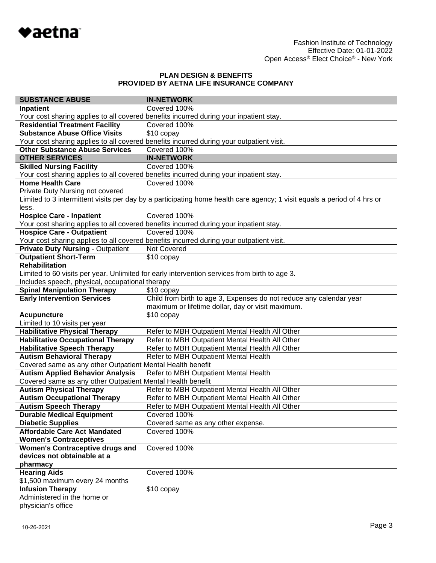

| <b>SUBSTANCE ABUSE</b>                                                           | <b>IN-NETWORK</b>                                                                                                        |  |
|----------------------------------------------------------------------------------|--------------------------------------------------------------------------------------------------------------------------|--|
| Inpatient                                                                        | Covered 100%                                                                                                             |  |
|                                                                                  | Your cost sharing applies to all covered benefits incurred during your inpatient stay.                                   |  |
| <b>Residential Treatment Facility</b>                                            | Covered 100%                                                                                                             |  |
| <b>Substance Abuse Office Visits</b>                                             | \$10 copay                                                                                                               |  |
|                                                                                  | Your cost sharing applies to all covered benefits incurred during your outpatient visit.                                 |  |
| <b>Other Substance Abuse Services</b>                                            | Covered 100%                                                                                                             |  |
| <b>OTHER SERVICES</b>                                                            | <b>IN-NETWORK</b>                                                                                                        |  |
| <b>Skilled Nursing Facility</b>                                                  | Covered 100%                                                                                                             |  |
|                                                                                  | Your cost sharing applies to all covered benefits incurred during your inpatient stay.                                   |  |
| <b>Home Health Care</b>                                                          | Covered 100%                                                                                                             |  |
| Private Duty Nursing not covered                                                 |                                                                                                                          |  |
|                                                                                  | Limited to 3 intermittent visits per day by a participating home health care agency; 1 visit equals a period of 4 hrs or |  |
| less.                                                                            |                                                                                                                          |  |
| <b>Hospice Care - Inpatient</b>                                                  | Covered 100%                                                                                                             |  |
|                                                                                  | Your cost sharing applies to all covered benefits incurred during your inpatient stay.                                   |  |
| <b>Hospice Care - Outpatient</b>                                                 | Covered 100%                                                                                                             |  |
|                                                                                  | Your cost sharing applies to all covered benefits incurred during your outpatient visit.                                 |  |
| <b>Private Duty Nursing - Outpatient</b>                                         | Not Covered                                                                                                              |  |
| <b>Outpatient Short-Term</b>                                                     | \$10 copay                                                                                                               |  |
| <b>Rehabilitation</b>                                                            |                                                                                                                          |  |
|                                                                                  | Limited to 60 visits per year. Unlimited for early intervention services from birth to age 3.                            |  |
| Includes speech, physical, occupational therapy                                  |                                                                                                                          |  |
| <b>Spinal Manipulation Therapy</b>                                               | \$10 copay                                                                                                               |  |
| <b>Early Intervention Services</b>                                               | Child from birth to age 3, Expenses do not reduce any calendar year                                                      |  |
|                                                                                  | maximum or lifetime dollar, day or visit maximum.                                                                        |  |
| <b>Acupuncture</b>                                                               | \$10 copay                                                                                                               |  |
| Limited to 10 visits per year                                                    |                                                                                                                          |  |
| <b>Habilitative Physical Therapy</b>                                             | Refer to MBH Outpatient Mental Health All Other                                                                          |  |
| <b>Habilitative Occupational Therapy</b>                                         | Refer to MBH Outpatient Mental Health All Other                                                                          |  |
| <b>Habilitative Speech Therapy</b>                                               | Refer to MBH Outpatient Mental Health All Other                                                                          |  |
| <b>Autism Behavioral Therapy</b>                                                 | Refer to MBH Outpatient Mental Health                                                                                    |  |
| Covered same as any other Outpatient Mental Health benefit                       |                                                                                                                          |  |
| <b>Autism Applied Behavior Analysis</b><br>Refer to MBH Outpatient Mental Health |                                                                                                                          |  |
| Covered same as any other Outpatient Mental Health benefit                       |                                                                                                                          |  |
| <b>Autism Physical Therapy</b>                                                   | Refer to MBH Outpatient Mental Health All Other                                                                          |  |
| <b>Autism Occupational Therapy</b>                                               | Refer to MBH Outpatient Mental Health All Other                                                                          |  |
| <b>Autism Speech Therapy</b>                                                     | Refer to MBH Outpatient Mental Health All Other                                                                          |  |
| <b>Durable Medical Equipment</b>                                                 | Covered 100%                                                                                                             |  |
| <b>Diabetic Supplies</b>                                                         | Covered same as any other expense.                                                                                       |  |
| <b>Affordable Care Act Mandated</b>                                              | Covered 100%                                                                                                             |  |
| <b>Women's Contraceptives</b>                                                    |                                                                                                                          |  |
| <b>Women's Contraceptive drugs and</b>                                           | Covered 100%                                                                                                             |  |
| devices not obtainable at a                                                      |                                                                                                                          |  |
| pharmacy                                                                         |                                                                                                                          |  |
| <b>Hearing Aids</b>                                                              | Covered 100%                                                                                                             |  |
| \$1,500 maximum every 24 months                                                  |                                                                                                                          |  |
| <b>Infusion Therapy</b>                                                          | \$10 copay                                                                                                               |  |
| Administered in the home or                                                      |                                                                                                                          |  |
| physician's office                                                               |                                                                                                                          |  |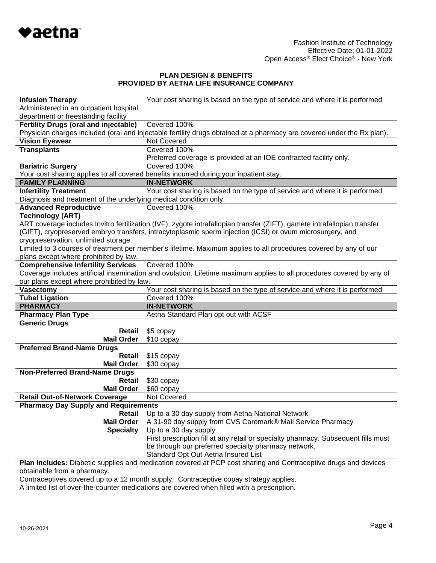

| <b>Infusion Therapy</b>                                                                                               | Your cost sharing is based on the type of service and where it is performed                                              |  |
|-----------------------------------------------------------------------------------------------------------------------|--------------------------------------------------------------------------------------------------------------------------|--|
| Administered in an outpatient hospital                                                                                |                                                                                                                          |  |
| department or freestanding facility                                                                                   |                                                                                                                          |  |
| <b>Fertility Drugs (oral and injectable)</b>                                                                          | Covered 100%                                                                                                             |  |
|                                                                                                                       | Physician charges included (oral and injectable fertility drugs obtained at a pharmacy are covered under the Rx plan).   |  |
| <b>Vision Eyewear</b>                                                                                                 | <b>Not Covered</b>                                                                                                       |  |
| <b>Transplants</b>                                                                                                    | Covered 100%                                                                                                             |  |
|                                                                                                                       | Preferred coverage is provided at an IOE contracted facility only.                                                       |  |
| <b>Bariatric Surgery</b>                                                                                              | Covered 100%                                                                                                             |  |
|                                                                                                                       | Your cost sharing applies to all covered benefits incurred during your inpatient stay.                                   |  |
| <b>FAMILY PLANNING</b>                                                                                                | <b>IN-NETWORK</b>                                                                                                        |  |
| <b>Infertility Treatment</b>                                                                                          | Your cost sharing is based on the type of service and where it is performed                                              |  |
| Diagnosis and treatment of the underlying medical condition only.                                                     |                                                                                                                          |  |
| <b>Advanced Reproductive</b>                                                                                          | Covered 100%                                                                                                             |  |
| <b>Technology (ART)</b>                                                                                               |                                                                                                                          |  |
|                                                                                                                       | ART coverage includes Invitro fertilization (IVF), zygote intrafallopian transfer (ZIFT), gamete intrafallopian transfer |  |
|                                                                                                                       | (GIFT), cryopreserved embryo transfers, intracytoplasmic sperm injection (ICSI) or ovum microsurgery, and                |  |
| cryopreservation, unlimited storage.                                                                                  |                                                                                                                          |  |
|                                                                                                                       | Limited to 3 courses of treatment per member's lifetime. Maximum applies to all procedures covered by any of our         |  |
| plans except where prohibited by law.                                                                                 |                                                                                                                          |  |
| <b>Comprehensive Infertility Services</b>                                                                             | Covered 100%                                                                                                             |  |
| Coverage includes artificial insemination and ovulation. Lifetime maximum applies to all procedures covered by any of |                                                                                                                          |  |
| our plans except where prohibited by law.                                                                             |                                                                                                                          |  |
| <b>Vasectomy</b>                                                                                                      | Your cost sharing is based on the type of service and where it is performed                                              |  |
| <b>Tubal Ligation</b>                                                                                                 | Covered 100%                                                                                                             |  |
| <b>PHARMACY</b>                                                                                                       | <b>IN-NETWORK</b>                                                                                                        |  |
| <b>Pharmacy Plan Type</b>                                                                                             | Aetna Standard Plan opt out with ACSF                                                                                    |  |
| <b>Generic Drugs</b>                                                                                                  |                                                                                                                          |  |
| Retail                                                                                                                | \$5 copay                                                                                                                |  |
| <b>Mail Order</b>                                                                                                     | \$10 copay                                                                                                               |  |
| <b>Preferred Brand-Name Drugs</b>                                                                                     |                                                                                                                          |  |
| Retail                                                                                                                | \$15 copay                                                                                                               |  |
| <b>Mail Order</b>                                                                                                     | \$30 copay                                                                                                               |  |
| <b>Non-Preferred Brand-Name Drugs</b>                                                                                 |                                                                                                                          |  |
| Retail                                                                                                                | \$30 copay                                                                                                               |  |
| <b>Mail Order</b>                                                                                                     | \$60 copay                                                                                                               |  |
| <b>Retail Out-of-Network Coverage</b>                                                                                 | Not Covered                                                                                                              |  |
| <b>Pharmacy Day Supply and Requirements</b>                                                                           |                                                                                                                          |  |
| Retail                                                                                                                | Up to a 30 day supply from Aetna National Network                                                                        |  |
| <b>Mail Order</b>                                                                                                     | A 31-90 day supply from CVS Caremark® Mail Service Pharmacy                                                              |  |
| <b>Specialty</b>                                                                                                      | Up to a 30 day supply                                                                                                    |  |
|                                                                                                                       | First prescription fill at any retail or specialty pharmacy. Subsequent fills must                                       |  |
|                                                                                                                       | be through our preferred specialty pharmacy network.                                                                     |  |
|                                                                                                                       | Standard Opt Out Aetna Insured List                                                                                      |  |

**Plan Includes:** Diabetic supplies and medication covered at PCP cost sharing and Contraceptive drugs and devices obtainable from a pharmacy.

Contraceptives covered up to a 12 month supply. Contraceptive copay strategy applies.

A limited list of over-the-counter medications are covered when filled with a prescription.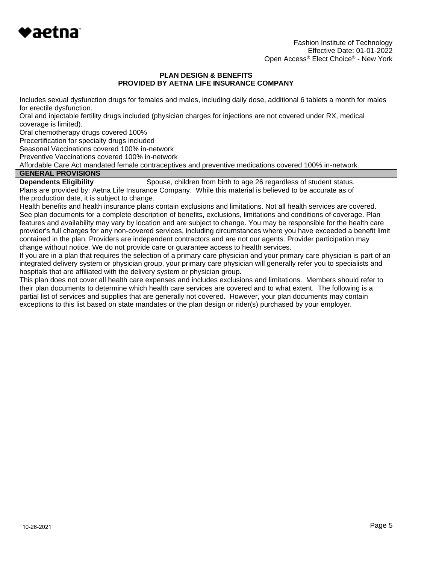

Fashion Institute of Technology Effective Date: 01-01-2022 Open Access® Elect Choice® - New York

#### **PLAN DESIGN & BENEFITS PROVIDED BY AETNA LIFE INSURANCE COMPANY**

Includes sexual dysfunction drugs for females and males, including daily dose, additional 6 tablets a month for males for erectile dysfunction.

Oral and injectable fertility drugs included (physician charges for injections are not covered under RX, medical coverage is limited).

Oral chemotherapy drugs covered 100%

Precertification for specialty drugs included

Seasonal Vaccinations covered 100% in-network

Preventive Vaccinations covered 100% in-network

Affordable Care Act mandated female contraceptives and preventive medications covered 100% in-network.

# **GENERAL PROVISIONS**

**Dependents Eligibility** Spouse, children from birth to age 26 regardless of student status. Plans are provided by: Aetna Life Insurance Company. While this material is believed to be accurate as of the production date, it is subject to change.

Health benefits and health insurance plans contain exclusions and limitations. Not all health services are covered. See plan documents for a complete description of benefits, exclusions, limitations and conditions of coverage. Plan features and availability may vary by location and are subject to change. You may be responsible for the health care provider's full charges for any non-covered services, including circumstances where you have exceeded a benefit limit contained in the plan. Providers are independent contractors and are not our agents. Provider participation may change without notice. We do not provide care or guarantee access to health services.

If you are in a plan that requires the selection of a primary care physician and your primary care physician is part of an integrated delivery system or physician group, your primary care physician will generally refer you to specialists and hospitals that are affiliated with the delivery system or physician group.

This plan does not cover all health care expenses and includes exclusions and limitations. Members should refer to their plan documents to determine which health care services are covered and to what extent. The following is a partial list of services and supplies that are generally not covered. However, your plan documents may contain exceptions to this list based on state mandates or the plan design or rider(s) purchased by your employer.